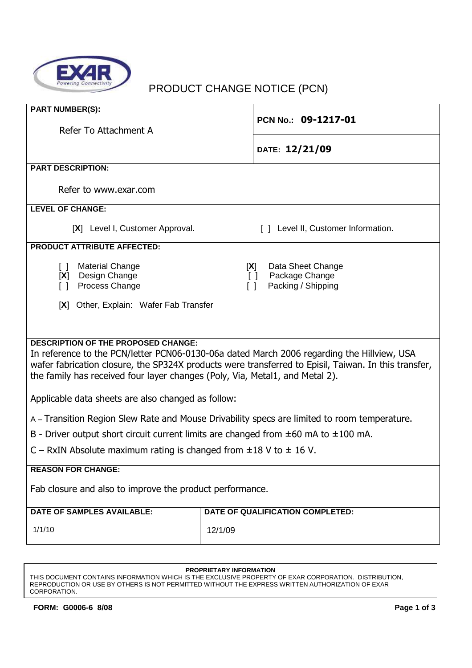

# PRODUCT CHANGE NOTICE (PCN)

| <b>PART NUMBER(S):</b><br>Refer To Attachment A                                                                                                                                                                                                                                                                                  | PCN No.: 09-1217-01                                                              |  |
|----------------------------------------------------------------------------------------------------------------------------------------------------------------------------------------------------------------------------------------------------------------------------------------------------------------------------------|----------------------------------------------------------------------------------|--|
|                                                                                                                                                                                                                                                                                                                                  |                                                                                  |  |
|                                                                                                                                                                                                                                                                                                                                  | DATE: 12/21/09                                                                   |  |
| <b>PART DESCRIPTION:</b>                                                                                                                                                                                                                                                                                                         |                                                                                  |  |
| Refer to www.exar.com                                                                                                                                                                                                                                                                                                            |                                                                                  |  |
| <b>LEVEL OF CHANGE:</b>                                                                                                                                                                                                                                                                                                          |                                                                                  |  |
| [X] Level I, Customer Approval.                                                                                                                                                                                                                                                                                                  | [] Level II, Customer Information.                                               |  |
| <b>PRODUCT ATTRIBUTE AFFECTED:</b>                                                                                                                                                                                                                                                                                               |                                                                                  |  |
| <b>Material Change</b><br>$\Box$<br>Design Change<br>[X]<br>Process Change<br>$\begin{bmatrix} \end{bmatrix}$                                                                                                                                                                                                                    | Data Sheet Change<br>[X]<br>Package Change<br>$\Box$<br>Packing / Shipping<br>ΙI |  |
| [X] Other, Explain: Wafer Fab Transfer                                                                                                                                                                                                                                                                                           |                                                                                  |  |
|                                                                                                                                                                                                                                                                                                                                  |                                                                                  |  |
| <b>DESCRIPTION OF THE PROPOSED CHANGE:</b><br>In reference to the PCN/letter PCN06-0130-06a dated March 2006 regarding the Hillview, USA<br>wafer fabrication closure, the SP324X products were transferred to Episil, Taiwan. In this transfer,<br>the family has received four layer changes (Poly, Via, Metal1, and Metal 2). |                                                                                  |  |
| Applicable data sheets are also changed as follow:                                                                                                                                                                                                                                                                               |                                                                                  |  |
| A – Transition Region Slew Rate and Mouse Drivability specs are limited to room temperature.                                                                                                                                                                                                                                     |                                                                                  |  |
| B - Driver output short circuit current limits are changed from $\pm 60$ mA to $\pm 100$ mA.                                                                                                                                                                                                                                     |                                                                                  |  |
| C – RxIN Absolute maximum rating is changed from $\pm 18$ V to $\pm$ 16 V.                                                                                                                                                                                                                                                       |                                                                                  |  |
| <b>REASON FOR CHANGE:</b>                                                                                                                                                                                                                                                                                                        |                                                                                  |  |
| Fab closure and also to improve the product performance.                                                                                                                                                                                                                                                                         |                                                                                  |  |
| <b>DATE OF SAMPLES AVAILABLE:</b>                                                                                                                                                                                                                                                                                                | <b>DATE OF QUALIFICATION COMPLETED:</b>                                          |  |
| 1/1/10                                                                                                                                                                                                                                                                                                                           | 12/1/09                                                                          |  |

#### **PROPRIETARY INFORMATION**

THIS DOCUMENT CONTAINS INFORMATION WHICH IS THE EXCLUSIVE PROPERTY OF EXAR CORPORATION. DISTRIBUTION, REPRODUCTION OR USE BY OTHERS IS NOT PERMITTED WITHOUT THE EXPRESS WRITTEN AUTHORIZATION OF EXAR CORPORATION.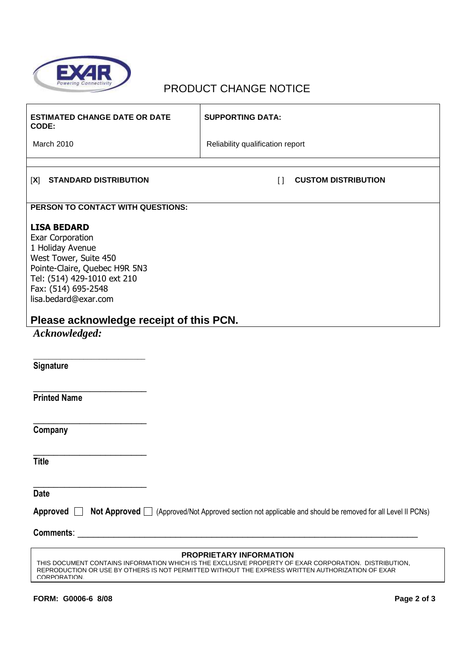

# PRODUCT CHANGE NOTICE

| <b>ESTIMATED CHANGE DATE OR DATE</b><br>CODE:                                                                                                                                                                                                              | <b>SUPPORTING DATA:</b>              |  |
|------------------------------------------------------------------------------------------------------------------------------------------------------------------------------------------------------------------------------------------------------------|--------------------------------------|--|
| March 2010                                                                                                                                                                                                                                                 | Reliability qualification report     |  |
|                                                                                                                                                                                                                                                            |                                      |  |
| <b>STANDARD DISTRIBUTION</b><br>[X]                                                                                                                                                                                                                        | <b>CUSTOM DISTRIBUTION</b><br>$\Box$ |  |
| PERSON TO CONTACT WITH QUESTIONS:                                                                                                                                                                                                                          |                                      |  |
| <b>LISA BEDARD</b><br><b>Exar Corporation</b><br>1 Holiday Avenue<br>West Tower, Suite 450<br>Pointe-Claire, Quebec H9R 5N3<br>Tel: (514) 429-1010 ext 210<br>Fax: (514) 695-2548<br>lisa.bedard@exar.com                                                  |                                      |  |
| Please acknowledge receipt of this PCN.                                                                                                                                                                                                                    |                                      |  |
| Acknowledged:                                                                                                                                                                                                                                              |                                      |  |
|                                                                                                                                                                                                                                                            |                                      |  |
| Signature                                                                                                                                                                                                                                                  |                                      |  |
| <b>Printed Name</b>                                                                                                                                                                                                                                        |                                      |  |
| Company                                                                                                                                                                                                                                                    |                                      |  |
| <b>Title</b>                                                                                                                                                                                                                                               |                                      |  |
| <b>Date</b>                                                                                                                                                                                                                                                |                                      |  |
| Approved [<br>Not Approved □ (Approved/Not Approved section not applicable and should be removed for all Level II PCNs)                                                                                                                                    |                                      |  |
| Comments: <u>comments</u> : comments: comments: comments: comments: comments: comments: comments: comments: comments: comments: comments: comments: comments: comments: comments: comments: comments: comments: comments: comments:                        |                                      |  |
| <b>PROPRIETARY INFORMATION</b><br>THIS DOCUMENT CONTAINS INFORMATION WHICH IS THE EXCLUSIVE PROPERTY OF EXAR CORPORATION. DISTRIBUTION,<br>REPRODUCTION OR USE BY OTHERS IS NOT PERMITTED WITHOUT THE EXPRESS WRITTEN AUTHORIZATION OF EXAR<br>CORPORATION |                                      |  |